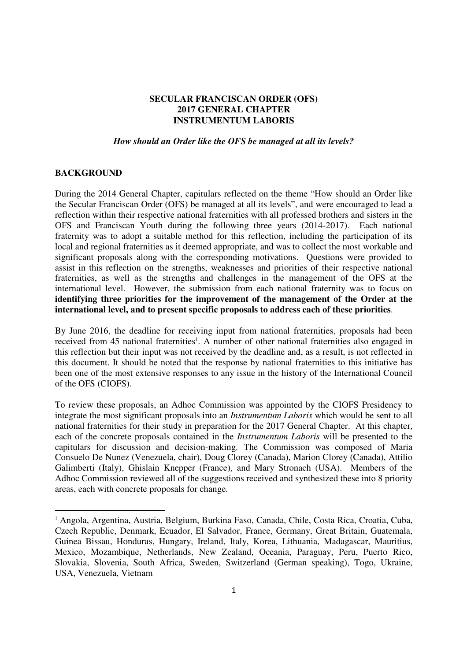# **SECULAR FRANCISCAN ORDER (OFS) 2017 GENERAL CHAPTER INSTRUMENTUM LABORIS**

#### *How should an Order like the OFS be managed at all its levels?*

### **BACKGROUND**

During the 2014 General Chapter, capitulars reflected on the theme "How should an Order like the Secular Franciscan Order (OFS) be managed at all its levels", and were encouraged to lead a reflection within their respective national fraternities with all professed brothers and sisters in the OFS and Franciscan Youth during the following three years (2014-2017). Each national fraternity was to adopt a suitable method for this reflection, including the participation of its local and regional fraternities as it deemed appropriate, and was to collect the most workable and significant proposals along with the corresponding motivations. Questions were provided to assist in this reflection on the strengths, weaknesses and priorities of their respective national fraternities, as well as the strengths and challenges in the management of the OFS at the international level. However, the submission from each national fraternity was to focus on **identifying three priorities for the improvement of the management of the Order at the international level, and to present specific proposals to address each of these priorities**.

By June 2016, the deadline for receiving input from national fraternities, proposals had been received from 45 national fraternities<sup>1</sup>. A number of other national fraternities also engaged in this reflection but their input was not received by the deadline and, as a result, is not reflected in this document. It should be noted that the response by national fraternities to this initiative has been one of the most extensive responses to any issue in the history of the International Council of the OFS (CIOFS).

To review these proposals, an Adhoc Commission was appointed by the CIOFS Presidency to integrate the most significant proposals into an *Instrumentum Laboris* which would be sent to all national fraternities for their study in preparation for the 2017 General Chapter. At this chapter, each of the concrete proposals contained in the *Instrumentum Laboris* will be presented to the capitulars for discussion and decision-making. The Commission was composed of Maria Consuelo De Nunez (Venezuela, chair), Doug Clorey (Canada), Marion Clorey (Canada), Attilio Galimberti (Italy), Ghislain Knepper (France), and Mary Stronach (USA). Members of the Adhoc Commission reviewed all of the suggestions received and synthesized these into 8 priority areas, each with concrete proposals for change.

<sup>&</sup>lt;sup>1</sup> Angola, Argentina, Austria, Belgium, Burkina Faso, Canada, Chile, Costa Rica, Croatia, Cuba, Czech Republic, Denmark, Ecuador, El Salvador, France, Germany, Great Britain, Guatemala, Guinea Bissau, Honduras, Hungary, Ireland, Italy, Korea, Lithuania, Madagascar, Mauritius, Mexico, Mozambique, Netherlands, New Zealand, Oceania, Paraguay, Peru, Puerto Rico, Slovakia, Slovenia, South Africa, Sweden, Switzerland (German speaking), Togo, Ukraine, USA, Venezuela, Vietnam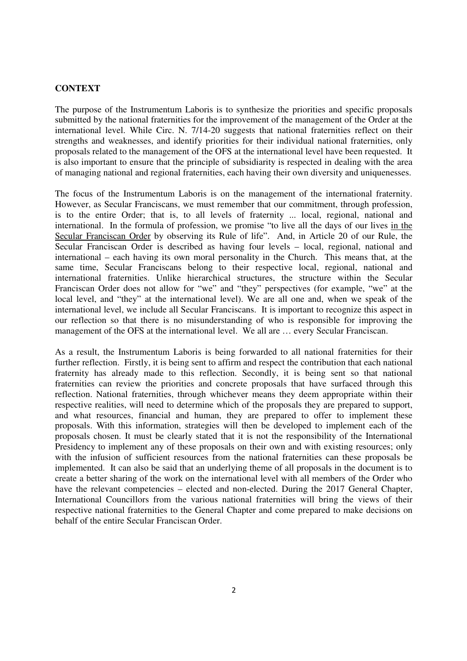## **CONTEXT**

The purpose of the Instrumentum Laboris is to synthesize the priorities and specific proposals submitted by the national fraternities for the improvement of the management of the Order at the international level. While Circ. N. 7/14-20 suggests that national fraternities reflect on their strengths and weaknesses, and identify priorities for their individual national fraternities, only proposals related to the management of the OFS at the international level have been requested. It is also important to ensure that the principle of subsidiarity is respected in dealing with the area of managing national and regional fraternities, each having their own diversity and uniquenesses.

The focus of the Instrumentum Laboris is on the management of the international fraternity. However, as Secular Franciscans, we must remember that our commitment, through profession, is to the entire Order; that is, to all levels of fraternity ... local, regional, national and international. In the formula of profession, we promise "to live all the days of our lives in the Secular Franciscan Order by observing its Rule of life". And, in Article 20 of our Rule, the Secular Franciscan Order is described as having four levels – local, regional, national and international – each having its own moral personality in the Church. This means that, at the same time, Secular Franciscans belong to their respective local, regional, national and international fraternities. Unlike hierarchical structures, the structure within the Secular Franciscan Order does not allow for "we" and "they" perspectives (for example, "we" at the local level, and "they" at the international level). We are all one and, when we speak of the international level, we include all Secular Franciscans. It is important to recognize this aspect in our reflection so that there is no misunderstanding of who is responsible for improving the management of the OFS at the international level. We all are … every Secular Franciscan.

As a result, the Instrumentum Laboris is being forwarded to all national fraternities for their further reflection. Firstly, it is being sent to affirm and respect the contribution that each national fraternity has already made to this reflection. Secondly, it is being sent so that national fraternities can review the priorities and concrete proposals that have surfaced through this reflection. National fraternities, through whichever means they deem appropriate within their respective realities, will need to determine which of the proposals they are prepared to support, and what resources, financial and human, they are prepared to offer to implement these proposals. With this information, strategies will then be developed to implement each of the proposals chosen. It must be clearly stated that it is not the responsibility of the International Presidency to implement any of these proposals on their own and with existing resources; only with the infusion of sufficient resources from the national fraternities can these proposals be implemented. It can also be said that an underlying theme of all proposals in the document is to create a better sharing of the work on the international level with all members of the Order who have the relevant competencies – elected and non-elected. During the 2017 General Chapter, International Councillors from the various national fraternities will bring the views of their respective national fraternities to the General Chapter and come prepared to make decisions on behalf of the entire Secular Franciscan Order.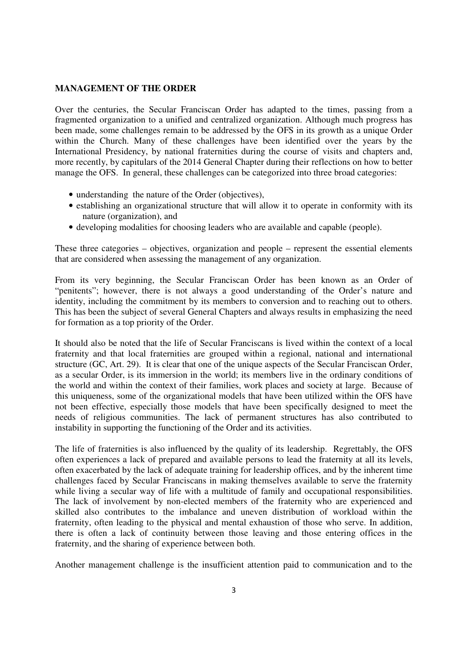#### **MANAGEMENT OF THE ORDER**

Over the centuries, the Secular Franciscan Order has adapted to the times, passing from a fragmented organization to a unified and centralized organization. Although much progress has been made, some challenges remain to be addressed by the OFS in its growth as a unique Order within the Church. Many of these challenges have been identified over the years by the International Presidency, by national fraternities during the course of visits and chapters and, more recently, by capitulars of the 2014 General Chapter during their reflections on how to better manage the OFS. In general, these challenges can be categorized into three broad categories:

- understanding the nature of the Order (objectives),
- establishing an organizational structure that will allow it to operate in conformity with its nature (organization), and
- developing modalities for choosing leaders who are available and capable (people).

These three categories – objectives, organization and people – represent the essential elements that are considered when assessing the management of any organization.

From its very beginning, the Secular Franciscan Order has been known as an Order of "penitents"; however, there is not always a good understanding of the Order's nature and identity, including the commitment by its members to conversion and to reaching out to others. This has been the subject of several General Chapters and always results in emphasizing the need for formation as a top priority of the Order.

It should also be noted that the life of Secular Franciscans is lived within the context of a local fraternity and that local fraternities are grouped within a regional, national and international structure (GC, Art. 29). It is clear that one of the unique aspects of the Secular Franciscan Order, as a secular Order, is its immersion in the world; its members live in the ordinary conditions of the world and within the context of their families, work places and society at large. Because of this uniqueness, some of the organizational models that have been utilized within the OFS have not been effective, especially those models that have been specifically designed to meet the needs of religious communities. The lack of permanent structures has also contributed to instability in supporting the functioning of the Order and its activities.

The life of fraternities is also influenced by the quality of its leadership. Regrettably, the OFS often experiences a lack of prepared and available persons to lead the fraternity at all its levels, often exacerbated by the lack of adequate training for leadership offices, and by the inherent time challenges faced by Secular Franciscans in making themselves available to serve the fraternity while living a secular way of life with a multitude of family and occupational responsibilities. The lack of involvement by non-elected members of the fraternity who are experienced and skilled also contributes to the imbalance and uneven distribution of workload within the fraternity, often leading to the physical and mental exhaustion of those who serve. In addition, there is often a lack of continuity between those leaving and those entering offices in the fraternity, and the sharing of experience between both.

Another management challenge is the insufficient attention paid to communication and to the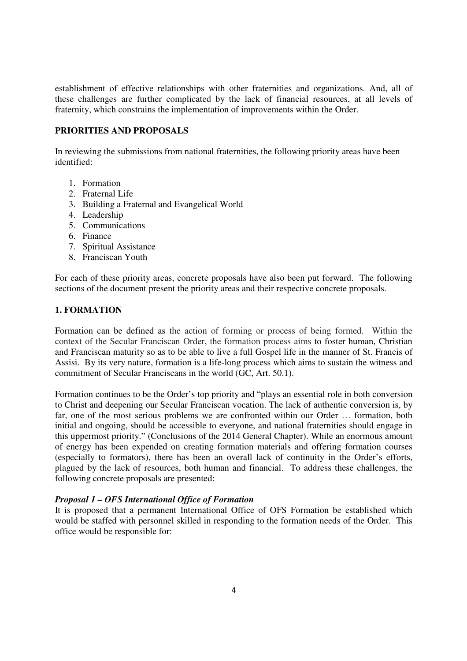establishment of effective relationships with other fraternities and organizations. And, all of these challenges are further complicated by the lack of financial resources, at all levels of fraternity, which constrains the implementation of improvements within the Order.

## **PRIORITIES AND PROPOSALS**

In reviewing the submissions from national fraternities, the following priority areas have been identified:

- 1. Formation
- 2. Fraternal Life
- 3. Building a Fraternal and Evangelical World
- 4. Leadership
- 5. Communications
- 6. Finance
- 7. Spiritual Assistance
- 8. Franciscan Youth

For each of these priority areas, concrete proposals have also been put forward. The following sections of the document present the priority areas and their respective concrete proposals.

# **1. FORMATION**

Formation can be defined as the action of forming or process of being formed. Within the context of the Secular Franciscan Order, the formation process aims to foster human, Christian and Franciscan maturity so as to be able to live a full Gospel life in the manner of St. Francis of Assisi. By its very nature, formation is a life-long process which aims to sustain the witness and commitment of Secular Franciscans in the world (GC, Art. 50.1).

Formation continues to be the Order's top priority and "plays an essential role in both conversion to Christ and deepening our Secular Franciscan vocation. The lack of authentic conversion is, by far, one of the most serious problems we are confronted within our Order … formation, both initial and ongoing, should be accessible to everyone, and national fraternities should engage in this uppermost priority." (Conclusions of the 2014 General Chapter). While an enormous amount of energy has been expended on creating formation materials and offering formation courses (especially to formators), there has been an overall lack of continuity in the Order's efforts, plagued by the lack of resources, both human and financial. To address these challenges, the following concrete proposals are presented:

### *Proposal 1 – OFS International Office of Formation*

It is proposed that a permanent International Office of OFS Formation be established which would be staffed with personnel skilled in responding to the formation needs of the Order. This office would be responsible for: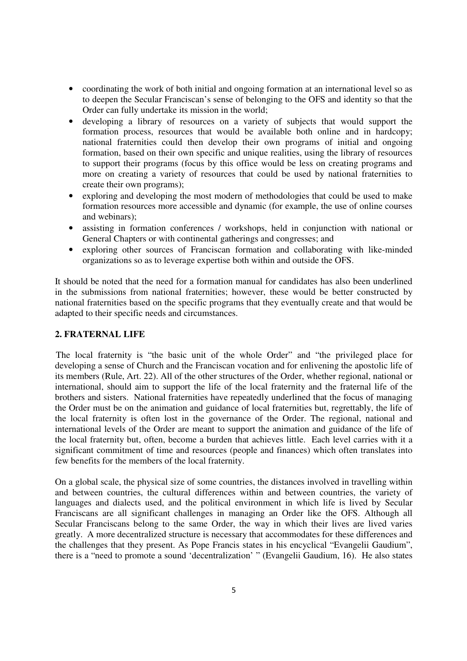- coordinating the work of both initial and ongoing formation at an international level so as to deepen the Secular Franciscan's sense of belonging to the OFS and identity so that the Order can fully undertake its mission in the world;
- developing a library of resources on a variety of subjects that would support the formation process, resources that would be available both online and in hardcopy; national fraternities could then develop their own programs of initial and ongoing formation, based on their own specific and unique realities, using the library of resources to support their programs (focus by this office would be less on creating programs and more on creating a variety of resources that could be used by national fraternities to create their own programs);
- exploring and developing the most modern of methodologies that could be used to make formation resources more accessible and dynamic (for example, the use of online courses and webinars);
- assisting in formation conferences / workshops, held in conjunction with national or General Chapters or with continental gatherings and congresses; and
- exploring other sources of Franciscan formation and collaborating with like-minded organizations so as to leverage expertise both within and outside the OFS.

It should be noted that the need for a formation manual for candidates has also been underlined in the submissions from national fraternities; however, these would be better constructed by national fraternities based on the specific programs that they eventually create and that would be adapted to their specific needs and circumstances.

# **2. FRATERNAL LIFE**

The local fraternity is "the basic unit of the whole Order" and "the privileged place for developing a sense of Church and the Franciscan vocation and for enlivening the apostolic life of its members (Rule, Art. 22). All of the other structures of the Order, whether regional, national or international, should aim to support the life of the local fraternity and the fraternal life of the brothers and sisters. National fraternities have repeatedly underlined that the focus of managing the Order must be on the animation and guidance of local fraternities but, regrettably, the life of the local fraternity is often lost in the governance of the Order. The regional, national and international levels of the Order are meant to support the animation and guidance of the life of the local fraternity but, often, become a burden that achieves little. Each level carries with it a significant commitment of time and resources (people and finances) which often translates into few benefits for the members of the local fraternity.

On a global scale, the physical size of some countries, the distances involved in travelling within and between countries, the cultural differences within and between countries, the variety of languages and dialects used, and the political environment in which life is lived by Secular Franciscans are all significant challenges in managing an Order like the OFS. Although all Secular Franciscans belong to the same Order, the way in which their lives are lived varies greatly. A more decentralized structure is necessary that accommodates for these differences and the challenges that they present. As Pope Francis states in his encyclical "Evangelii Gaudium", there is a "need to promote a sound 'decentralization' " (Evangelii Gaudium, 16). He also states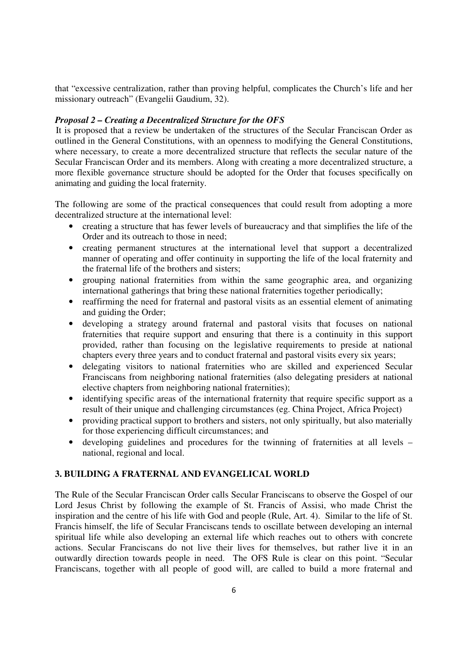that "excessive centralization, rather than proving helpful, complicates the Church's life and her missionary outreach" (Evangelii Gaudium, 32).

## *Proposal 2 – Creating a Decentralized Structure for the OFS*

It is proposed that a review be undertaken of the structures of the Secular Franciscan Order as outlined in the General Constitutions, with an openness to modifying the General Constitutions, where necessary, to create a more decentralized structure that reflects the secular nature of the Secular Franciscan Order and its members. Along with creating a more decentralized structure, a more flexible governance structure should be adopted for the Order that focuses specifically on animating and guiding the local fraternity.

The following are some of the practical consequences that could result from adopting a more decentralized structure at the international level:

- creating a structure that has fewer levels of bureaucracy and that simplifies the life of the Order and its outreach to those in need;
- creating permanent structures at the international level that support a decentralized manner of operating and offer continuity in supporting the life of the local fraternity and the fraternal life of the brothers and sisters;
- grouping national fraternities from within the same geographic area, and organizing international gatherings that bring these national fraternities together periodically;
- reaffirming the need for fraternal and pastoral visits as an essential element of animating and guiding the Order;
- developing a strategy around fraternal and pastoral visits that focuses on national fraternities that require support and ensuring that there is a continuity in this support provided, rather than focusing on the legislative requirements to preside at national chapters every three years and to conduct fraternal and pastoral visits every six years;
- delegating visitors to national fraternities who are skilled and experienced Secular Franciscans from neighboring national fraternities (also delegating presiders at national elective chapters from neighboring national fraternities);
- identifying specific areas of the international fraternity that require specific support as a result of their unique and challenging circumstances (eg. China Project, Africa Project)
- providing practical support to brothers and sisters, not only spiritually, but also materially for those experiencing difficult circumstances; and
- developing guidelines and procedures for the twinning of fraternities at all levels national, regional and local.

### **3. BUILDING A FRATERNAL AND EVANGELICAL WORLD**

The Rule of the Secular Franciscan Order calls Secular Franciscans to observe the Gospel of our Lord Jesus Christ by following the example of St. Francis of Assisi, who made Christ the inspiration and the centre of his life with God and people (Rule, Art. 4). Similar to the life of St. Francis himself, the life of Secular Franciscans tends to oscillate between developing an internal spiritual life while also developing an external life which reaches out to others with concrete actions. Secular Franciscans do not live their lives for themselves, but rather live it in an outwardly direction towards people in need. The OFS Rule is clear on this point. "Secular Franciscans, together with all people of good will, are called to build a more fraternal and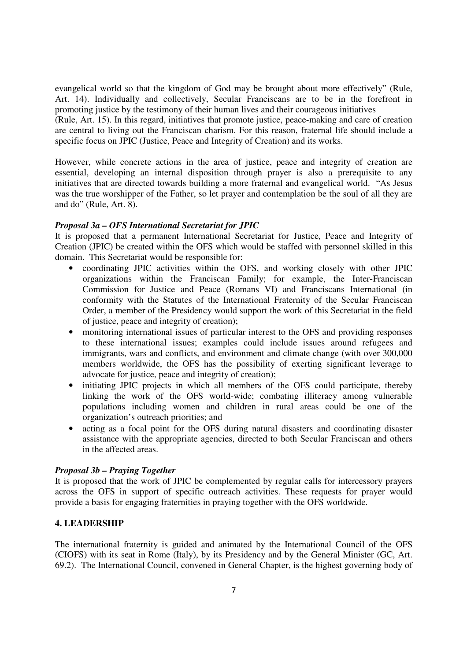evangelical world so that the kingdom of God may be brought about more effectively" (Rule, Art. 14). Individually and collectively, Secular Franciscans are to be in the forefront in promoting justice by the testimony of their human lives and their courageous initiatives

(Rule, Art. 15). In this regard, initiatives that promote justice, peace-making and care of creation are central to living out the Franciscan charism. For this reason, fraternal life should include a specific focus on JPIC (Justice, Peace and Integrity of Creation) and its works.

However, while concrete actions in the area of justice, peace and integrity of creation are essential, developing an internal disposition through prayer is also a prerequisite to any initiatives that are directed towards building a more fraternal and evangelical world. "As Jesus was the true worshipper of the Father, so let prayer and contemplation be the soul of all they are and do" (Rule, Art. 8).

## *Proposal 3a – OFS International Secretariat for JPIC*

It is proposed that a permanent International Secretariat for Justice, Peace and Integrity of Creation (JPIC) be created within the OFS which would be staffed with personnel skilled in this domain. This Secretariat would be responsible for:

- coordinating JPIC activities within the OFS, and working closely with other JPIC organizations within the Franciscan Family; for example, the Inter-Franciscan Commission for Justice and Peace (Romans VI) and Franciscans International (in conformity with the Statutes of the International Fraternity of the Secular Franciscan Order, a member of the Presidency would support the work of this Secretariat in the field of justice, peace and integrity of creation);
- monitoring international issues of particular interest to the OFS and providing responses to these international issues; examples could include issues around refugees and immigrants, wars and conflicts, and environment and climate change (with over 300,000 members worldwide, the OFS has the possibility of exerting significant leverage to advocate for justice, peace and integrity of creation);
- initiating JPIC projects in which all members of the OFS could participate, thereby linking the work of the OFS world-wide; combating illiteracy among vulnerable populations including women and children in rural areas could be one of the organization's outreach priorities; and
- acting as a focal point for the OFS during natural disasters and coordinating disaster assistance with the appropriate agencies, directed to both Secular Franciscan and others in the affected areas.

# *Proposal 3b – Praying Together*

It is proposed that the work of JPIC be complemented by regular calls for intercessory prayers across the OFS in support of specific outreach activities. These requests for prayer would provide a basis for engaging fraternities in praying together with the OFS worldwide.

# **4. LEADERSHIP**

The international fraternity is guided and animated by the International Council of the OFS (CIOFS) with its seat in Rome (Italy), by its Presidency and by the General Minister (GC, Art. 69.2). The International Council, convened in General Chapter, is the highest governing body of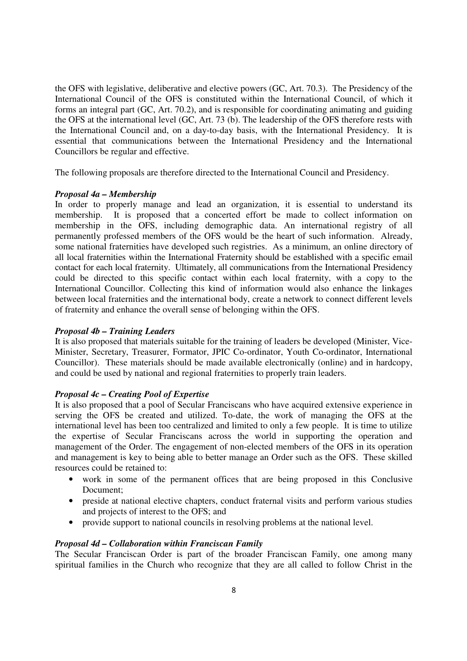the OFS with legislative, deliberative and elective powers (GC, Art. 70.3). The Presidency of the International Council of the OFS is constituted within the International Council, of which it forms an integral part (GC, Art. 70.2), and is responsible for coordinating animating and guiding the OFS at the international level (GC, Art. 73 (b). The leadership of the OFS therefore rests with the International Council and, on a day-to-day basis, with the International Presidency. It is essential that communications between the International Presidency and the International Councillors be regular and effective.

The following proposals are therefore directed to the International Council and Presidency.

#### *Proposal 4a – Membership*

In order to properly manage and lead an organization, it is essential to understand its membership. It is proposed that a concerted effort be made to collect information on membership in the OFS, including demographic data. An international registry of all permanently professed members of the OFS would be the heart of such information. Already, some national fraternities have developed such registries. As a minimum, an online directory of all local fraternities within the International Fraternity should be established with a specific email contact for each local fraternity. Ultimately, all communications from the International Presidency could be directed to this specific contact within each local fraternity, with a copy to the International Councillor. Collecting this kind of information would also enhance the linkages between local fraternities and the international body, create a network to connect different levels of fraternity and enhance the overall sense of belonging within the OFS.

#### *Proposal 4b – Training Leaders*

It is also proposed that materials suitable for the training of leaders be developed (Minister, Vice-Minister, Secretary, Treasurer, Formator, JPIC Co-ordinator, Youth Co-ordinator, International Councillor). These materials should be made available electronically (online) and in hardcopy, and could be used by national and regional fraternities to properly train leaders.

### *Proposal 4c – Creating Pool of Expertise*

It is also proposed that a pool of Secular Franciscans who have acquired extensive experience in serving the OFS be created and utilized. To-date, the work of managing the OFS at the international level has been too centralized and limited to only a few people. It is time to utilize the expertise of Secular Franciscans across the world in supporting the operation and management of the Order. The engagement of non-elected members of the OFS in its operation and management is key to being able to better manage an Order such as the OFS. These skilled resources could be retained to:

- work in some of the permanent offices that are being proposed in this Conclusive Document;
- preside at national elective chapters, conduct fraternal visits and perform various studies and projects of interest to the OFS; and
- provide support to national councils in resolving problems at the national level.

### *Proposal 4d – Collaboration within Franciscan Family*

The Secular Franciscan Order is part of the broader Franciscan Family, one among many spiritual families in the Church who recognize that they are all called to follow Christ in the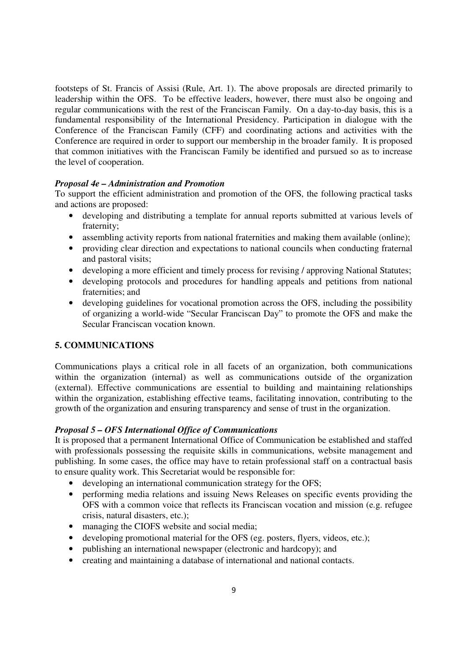footsteps of St. Francis of Assisi (Rule, Art. 1). The above proposals are directed primarily to leadership within the OFS. To be effective leaders, however, there must also be ongoing and regular communications with the rest of the Franciscan Family. On a day-to-day basis, this is a fundamental responsibility of the International Presidency. Participation in dialogue with the Conference of the Franciscan Family (CFF) and coordinating actions and activities with the Conference are required in order to support our membership in the broader family. It is proposed that common initiatives with the Franciscan Family be identified and pursued so as to increase the level of cooperation.

## *Proposal 4e – Administration and Promotion*

To support the efficient administration and promotion of the OFS, the following practical tasks and actions are proposed:

- developing and distributing a template for annual reports submitted at various levels of fraternity;
- assembling activity reports from national fraternities and making them available (online);
- providing clear direction and expectations to national councils when conducting fraternal and pastoral visits;
- developing a more efficient and timely process for revising / approving National Statutes;
- developing protocols and procedures for handling appeals and petitions from national fraternities; and
- developing guidelines for vocational promotion across the OFS, including the possibility of organizing a world-wide "Secular Franciscan Day" to promote the OFS and make the Secular Franciscan vocation known.

# **5. COMMUNICATIONS**

Communications plays a critical role in all facets of an organization, both communications within the organization (internal) as well as communications outside of the organization (external). Effective communications are essential to building and maintaining relationships within the organization, establishing effective teams, facilitating innovation, contributing to the growth of the organization and ensuring transparency and sense of trust in the organization.

# *Proposal 5 – OFS International Office of Communications*

It is proposed that a permanent International Office of Communication be established and staffed with professionals possessing the requisite skills in communications, website management and publishing. In some cases, the office may have to retain professional staff on a contractual basis to ensure quality work. This Secretariat would be responsible for:

- developing an international communication strategy for the OFS;
- performing media relations and issuing News Releases on specific events providing the OFS with a common voice that reflects its Franciscan vocation and mission (e.g. refugee crisis, natural disasters, etc.);
- managing the CIOFS website and social media;
- developing promotional material for the OFS (eg. posters, flyers, videos, etc.);
- publishing an international newspaper (electronic and hardcopy); and
- creating and maintaining a database of international and national contacts.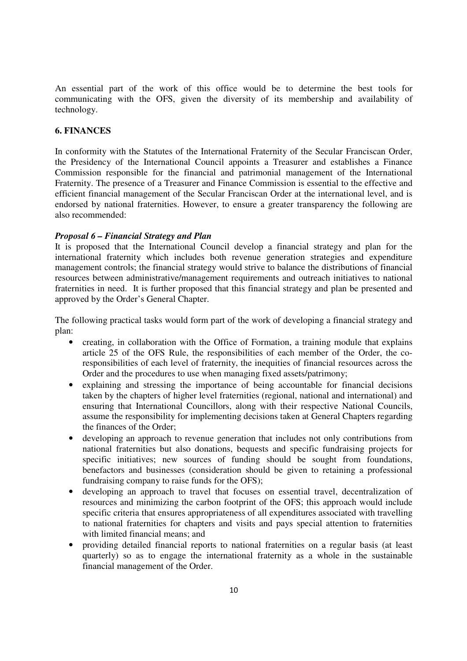An essential part of the work of this office would be to determine the best tools for communicating with the OFS, given the diversity of its membership and availability of technology.

# **6. FINANCES**

In conformity with the Statutes of the International Fraternity of the Secular Franciscan Order, the Presidency of the International Council appoints a Treasurer and establishes a Finance Commission responsible for the financial and patrimonial management of the International Fraternity. The presence of a Treasurer and Finance Commission is essential to the effective and efficient financial management of the Secular Franciscan Order at the international level, and is endorsed by national fraternities. However, to ensure a greater transparency the following are also recommended:

## *Proposal 6 – Financial Strategy and Plan*

It is proposed that the International Council develop a financial strategy and plan for the international fraternity which includes both revenue generation strategies and expenditure management controls; the financial strategy would strive to balance the distributions of financial resources between administrative/management requirements and outreach initiatives to national fraternities in need. It is further proposed that this financial strategy and plan be presented and approved by the Order's General Chapter.

The following practical tasks would form part of the work of developing a financial strategy and plan:

- creating, in collaboration with the Office of Formation, a training module that explains article 25 of the OFS Rule, the responsibilities of each member of the Order, the coresponsibilities of each level of fraternity, the inequities of financial resources across the Order and the procedures to use when managing fixed assets/patrimony;
- explaining and stressing the importance of being accountable for financial decisions taken by the chapters of higher level fraternities (regional, national and international) and ensuring that International Councillors, along with their respective National Councils, assume the responsibility for implementing decisions taken at General Chapters regarding the finances of the Order;
- developing an approach to revenue generation that includes not only contributions from national fraternities but also donations, bequests and specific fundraising projects for specific initiatives; new sources of funding should be sought from foundations, benefactors and businesses (consideration should be given to retaining a professional fundraising company to raise funds for the OFS);
- developing an approach to travel that focuses on essential travel, decentralization of resources and minimizing the carbon footprint of the OFS; this approach would include specific criteria that ensures appropriateness of all expenditures associated with travelling to national fraternities for chapters and visits and pays special attention to fraternities with limited financial means; and
- providing detailed financial reports to national fraternities on a regular basis (at least quarterly) so as to engage the international fraternity as a whole in the sustainable financial management of the Order.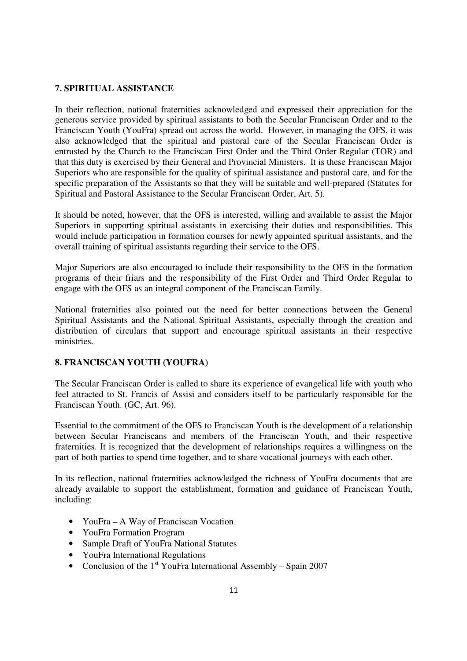## **7. SPIRITUAL ASSISTANCE**

In their reflection, national fraternities acknowledged and expressed their appreciation for the generous service provided by spiritual assistants to both the Secular Franciscan Order and to the Franciscan Youth (YouFra) spread out across the world. However, in managing the OFS, it was also acknowledged that the spiritual and pastoral care of the Secular Franciscan Order is entrusted by the Church to the Franciscan First Order and the Third Order Regular (TOR) and that this duty is exercised by their General and Provincial Ministers. It is these Franciscan Major Superiors who are responsible for the quality of spiritual assistance and pastoral care, and for the specific preparation of the Assistants so that they will be suitable and well-prepared (Statutes for Spiritual and Pastoral Assistance to the Secular Franciscan Order, Art. 5).

It should be noted, however, that the OFS is interested, willing and available to assist the Major Superiors in supporting spiritual assistants in exercising their duties and responsibilities. This would include participation in formation courses for newly appointed spiritual assistants, and the overall training of spiritual assistants regarding their service to the OFS.

Major Superiors are also encouraged to include their responsibility to the OFS in the formation programs of their friars and the responsibility of the First Order and Third Order Regular to engage with the OFS as an integral component of the Franciscan Family.

National fraternities also pointed out the need for better connections between the General Spiritual Assistants and the National Spiritual Assistants, especially through the creation and distribution of circulars that support and encourage spiritual assistants in their respective ministries.

### **8. FRANCISCAN YOUTH (YOUFRA)**

The Secular Franciscan Order is called to share its experience of evangelical life with youth who feel attracted to St. Francis of Assisi and considers itself to be particularly responsible for the Franciscan Youth. (GC, Art. 96).

Essential to the commitment of the OFS to Franciscan Youth is the development of a relationship between Secular Franciscans and members of the Franciscan Youth, and their respective fraternities. It is recognized that the development of relationships requires a willingness on the part of both parties to spend time together, and to share vocational journeys with each other.

In its reflection, national fraternities acknowledged the richness of YouFra documents that are already available to support the establishment, formation and guidance of Franciscan Youth, including:

- YouFra A Way of Franciscan Vocation
- YouFra Formation Program
- Sample Draft of YouFra National Statutes
- YouFra International Regulations
- Conclusion of the  $1<sup>st</sup>$  YouFra International Assembly Spain 2007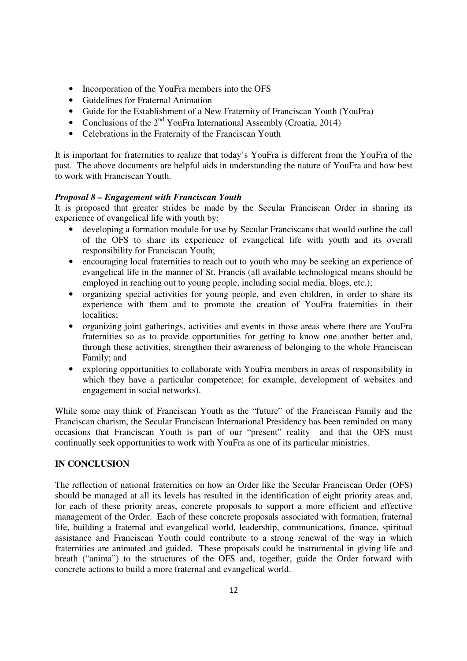- Incorporation of the YouFra members into the OFS
- Guidelines for Fraternal Animation
- Guide for the Establishment of a New Fraternity of Franciscan Youth (YouFra)
- Conclusions of the  $2^{nd}$  YouFra International Assembly (Croatia, 2014)
- Celebrations in the Fraternity of the Franciscan Youth

It is important for fraternities to realize that today's YouFra is different from the YouFra of the past. The above documents are helpful aids in understanding the nature of YouFra and how best to work with Franciscan Youth.

### *Proposal 8 – Engagement with Franciscan Youth*

It is proposed that greater strides be made by the Secular Franciscan Order in sharing its experience of evangelical life with youth by:

- developing a formation module for use by Secular Franciscans that would outline the call of the OFS to share its experience of evangelical life with youth and its overall responsibility for Franciscan Youth;
- encouraging local fraternities to reach out to youth who may be seeking an experience of evangelical life in the manner of St. Francis (all available technological means should be employed in reaching out to young people, including social media, blogs, etc.);
- organizing special activities for young people, and even children, in order to share its experience with them and to promote the creation of YouFra fraternities in their localities;
- organizing joint gatherings, activities and events in those areas where there are YouFra fraternities so as to provide opportunities for getting to know one another better and, through these activities, strengthen their awareness of belonging to the whole Franciscan Family; and
- exploring opportunities to collaborate with YouFra members in areas of responsibility in which they have a particular competence; for example, development of websites and engagement in social networks).

While some may think of Franciscan Youth as the "future" of the Franciscan Family and the Franciscan charism, the Secular Franciscan International Presidency has been reminded on many occasions that Franciscan Youth is part of our "present" reality and that the OFS must continually seek opportunities to work with YouFra as one of its particular ministries.

### **IN CONCLUSION**

The reflection of national fraternities on how an Order like the Secular Franciscan Order (OFS) should be managed at all its levels has resulted in the identification of eight priority areas and, for each of these priority areas, concrete proposals to support a more efficient and effective management of the Order. Each of these concrete proposals associated with formation, fraternal life, building a fraternal and evangelical world, leadership, communications, finance, spiritual assistance and Franciscan Youth could contribute to a strong renewal of the way in which fraternities are animated and guided. These proposals could be instrumental in giving life and breath ("anima") to the structures of the OFS and, together, guide the Order forward with concrete actions to build a more fraternal and evangelical world.